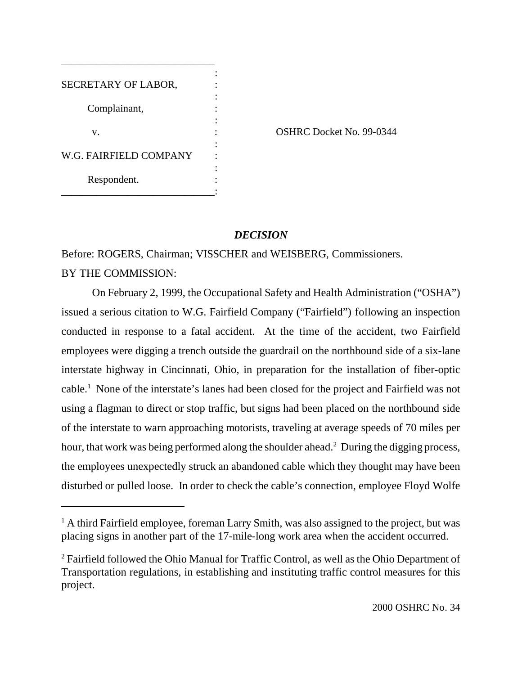| SECRETARY OF LABOR,    |                          |
|------------------------|--------------------------|
| Complainant,           |                          |
| V.                     | OSHRC Docket No. 99-0344 |
| W.G. FAIRFIELD COMPANY |                          |
| Respondent.            |                          |

## *DECISION*

Before: ROGERS, Chairman; VISSCHER and WEISBERG, Commissioners. BY THE COMMISSION:

On February 2, 1999, the Occupational Safety and Health Administration ("OSHA") issued a serious citation to W.G. Fairfield Company ("Fairfield") following an inspection conducted in response to a fatal accident. At the time of the accident, two Fairfield employees were digging a trench outside the guardrail on the northbound side of a six-lane interstate highway in Cincinnati, Ohio, in preparation for the installation of fiber-optic cable.<sup>1</sup> None of the interstate's lanes had been closed for the project and Fairfield was not using a flagman to direct or stop traffic, but signs had been placed on the northbound side of the interstate to warn approaching motorists, traveling at average speeds of 70 miles per hour, that work was being performed along the shoulder ahead.<sup>2</sup> During the digging process, the employees unexpectedly struck an abandoned cable which they thought may have been disturbed or pulled loose. In order to check the cable's connection, employee Floyd Wolfe

<sup>&</sup>lt;sup>1</sup> A third Fairfield employee, foreman Larry Smith, was also assigned to the project, but was placing signs in another part of the 17-mile-long work area when the accident occurred.

<sup>&</sup>lt;sup>2</sup> Fairfield followed the Ohio Manual for Traffic Control, as well as the Ohio Department of Transportation regulations, in establishing and instituting traffic control measures for this project.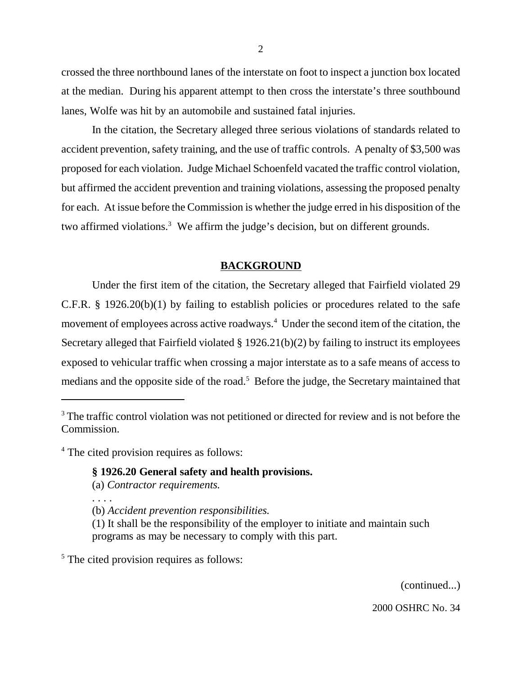crossed the three northbound lanes of the interstate on foot to inspect a junction box located at the median. During his apparent attempt to then cross the interstate's three southbound lanes, Wolfe was hit by an automobile and sustained fatal injuries.

In the citation, the Secretary alleged three serious violations of standards related to accident prevention, safety training, and the use of traffic controls. A penalty of \$3,500 was proposed for each violation. Judge Michael Schoenfeld vacated the traffic control violation, but affirmed the accident prevention and training violations, assessing the proposed penalty for each. At issue before the Commission is whether the judge erred in his disposition of the two affirmed violations.<sup>3</sup> We affirm the judge's decision, but on different grounds.

### **BACKGROUND**

Under the first item of the citation, the Secretary alleged that Fairfield violated 29 C.F.R. § 1926.20(b)(1) by failing to establish policies or procedures related to the safe movement of employees across active roadways.<sup>4</sup> Under the second item of the citation, the Secretary alleged that Fairfield violated  $\S 1926.21(b)(2)$  by failing to instruct its employees exposed to vehicular traffic when crossing a major interstate as to a safe means of access to medians and the opposite side of the road.<sup>5</sup> Before the judge, the Secretary maintained that

- **§ 1926.20 General safety and health provisions.**
- (a) *Contractor requirements.*

. . . .

(b) *Accident prevention responsibilities.*

<sup>5</sup> The cited provision requires as follows:

(continued...)

2000 OSHRC No. 34

<sup>&</sup>lt;sup>3</sup> The traffic control violation was not petitioned or directed for review and is not before the Commission.

<sup>&</sup>lt;sup>4</sup> The cited provision requires as follows:

<sup>(1)</sup> It shall be the responsibility of the employer to initiate and maintain such programs as may be necessary to comply with this part.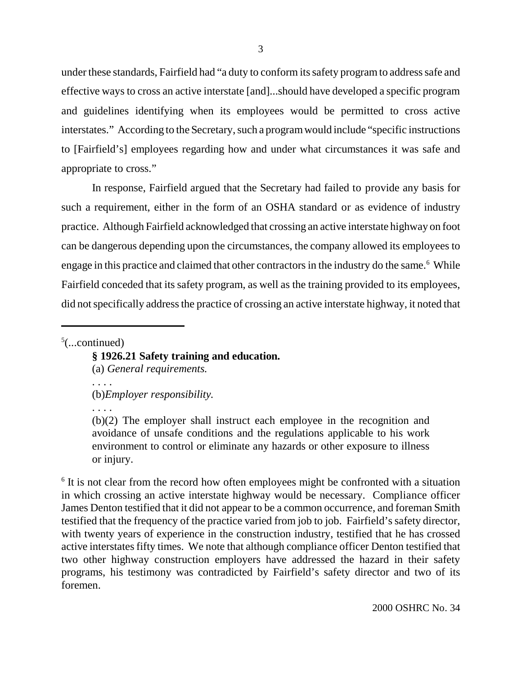under these standards, Fairfield had "a duty to conform its safety program to address safe and effective ways to cross an active interstate [and]...should have developed a specific program and guidelines identifying when its employees would be permitted to cross active interstates." According to the Secretary, such a program would include "specific instructions to [Fairfield's] employees regarding how and under what circumstances it was safe and appropriate to cross."

In response, Fairfield argued that the Secretary had failed to provide any basis for such a requirement, either in the form of an OSHA standard or as evidence of industry practice. Although Fairfield acknowledged that crossing an active interstate highway on foot can be dangerous depending upon the circumstances, the company allowed its employees to engage in this practice and claimed that other contractors in the industry do the same.<sup>6</sup> While Fairfield conceded that its safety program, as well as the training provided to its employees, did not specifically address the practice of crossing an active interstate highway, it noted that

 $5$ (...continued)

# **§ 1926.21 Safety training and education.**

(a) *General requirements.*

. . . . (b)*Employer responsibility.*

. . . .

(b)(2) The employer shall instruct each employee in the recognition and avoidance of unsafe conditions and the regulations applicable to his work environment to control or eliminate any hazards or other exposure to illness or injury.

<sup>6</sup> It is not clear from the record how often employees might be confronted with a situation in which crossing an active interstate highway would be necessary. Compliance officer James Denton testified that it did not appear to be a common occurrence, and foreman Smith testified that the frequency of the practice varied from job to job. Fairfield's safety director, with twenty years of experience in the construction industry, testified that he has crossed active interstates fifty times. We note that although compliance officer Denton testified that two other highway construction employers have addressed the hazard in their safety programs, his testimony was contradicted by Fairfield's safety director and two of its foremen.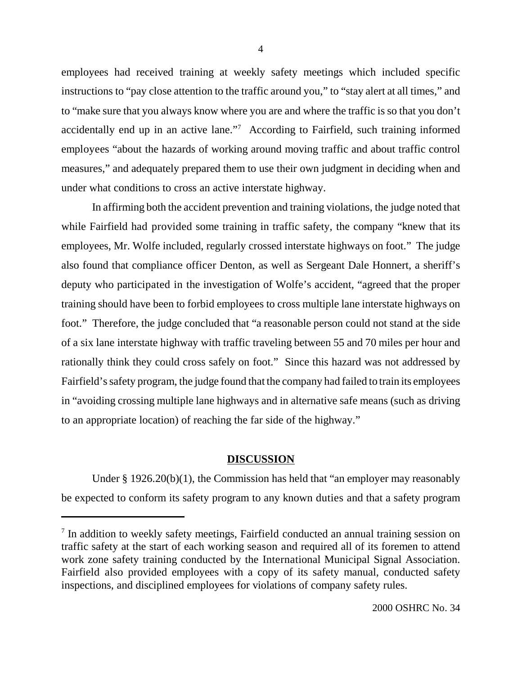employees had received training at weekly safety meetings which included specific instructions to "pay close attention to the traffic around you," to "stay alert at all times," and to "make sure that you always know where you are and where the traffic is so that you don't accidentally end up in an active lane."<sup>7</sup> According to Fairfield, such training informed employees "about the hazards of working around moving traffic and about traffic control measures," and adequately prepared them to use their own judgment in deciding when and under what conditions to cross an active interstate highway.

In affirming both the accident prevention and training violations, the judge noted that while Fairfield had provided some training in traffic safety, the company "knew that its employees, Mr. Wolfe included, regularly crossed interstate highways on foot." The judge also found that compliance officer Denton, as well as Sergeant Dale Honnert, a sheriff's deputy who participated in the investigation of Wolfe's accident, "agreed that the proper training should have been to forbid employees to cross multiple lane interstate highways on foot." Therefore, the judge concluded that "a reasonable person could not stand at the side of a six lane interstate highway with traffic traveling between 55 and 70 miles per hour and rationally think they could cross safely on foot." Since this hazard was not addressed by Fairfield's safety program, the judge found that the company had failed to train its employees in "avoiding crossing multiple lane highways and in alternative safe means (such as driving to an appropriate location) of reaching the far side of the highway."

### **DISCUSSION**

Under § 1926.20(b)(1), the Commission has held that "an employer may reasonably be expected to conform its safety program to any known duties and that a safety program

<sup>&</sup>lt;sup>7</sup> In addition to weekly safety meetings, Fairfield conducted an annual training session on traffic safety at the start of each working season and required all of its foremen to attend work zone safety training conducted by the International Municipal Signal Association. Fairfield also provided employees with a copy of its safety manual, conducted safety inspections, and disciplined employees for violations of company safety rules.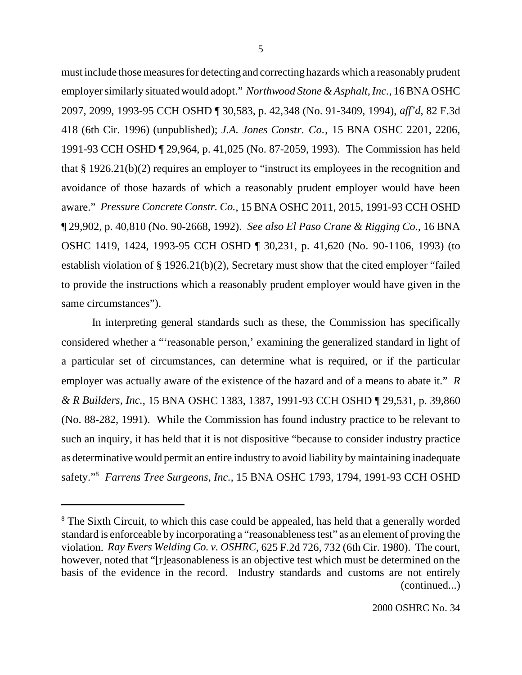must include those measures for detecting and correcting hazards which a reasonably prudent employer similarly situated would adopt." *Northwood Stone & Asphalt, Inc.*, 16 BNA OSHC 2097, 2099, 1993-95 CCH OSHD ¶ 30,583, p. 42,348 (No. 91-3409, 1994), *aff'd*, 82 F.3d 418 (6th Cir. 1996) (unpublished); *J.A. Jones Constr. Co.*, 15 BNA OSHC 2201, 2206, 1991-93 CCH OSHD ¶ 29,964, p. 41,025 (No. 87-2059, 1993). The Commission has held that § 1926.21(b)(2) requires an employer to "instruct its employees in the recognition and avoidance of those hazards of which a reasonably prudent employer would have been aware." *Pressure Concrete Constr. Co.*, 15 BNA OSHC 2011, 2015, 1991-93 CCH OSHD ¶ 29,902, p. 40,810 (No. 90-2668, 1992). *See also El Paso Crane & Rigging Co.*, 16 BNA OSHC 1419, 1424, 1993-95 CCH OSHD ¶ 30,231, p. 41,620 (No. 90-1106, 1993) (to establish violation of § 1926.21(b)(2), Secretary must show that the cited employer "failed to provide the instructions which a reasonably prudent employer would have given in the same circumstances").

In interpreting general standards such as these, the Commission has specifically considered whether a "'reasonable person,' examining the generalized standard in light of a particular set of circumstances, can determine what is required, or if the particular employer was actually aware of the existence of the hazard and of a means to abate it." *R & R Builders, Inc.*, 15 BNA OSHC 1383, 1387, 1991-93 CCH OSHD ¶ 29,531, p. 39,860 (No. 88-282, 1991). While the Commission has found industry practice to be relevant to such an inquiry, it has held that it is not dispositive "because to consider industry practice as determinative would permit an entire industry to avoid liability by maintaining inadequate safety."<sup>8</sup> *Farrens Tree Surgeons, Inc.*, 15 BNA OSHC 1793, 1794, 1991-93 CCH OSHD

<sup>&</sup>lt;sup>8</sup> The Sixth Circuit, to which this case could be appealed, has held that a generally worded standard is enforceable by incorporating a "reasonableness test" as an element of proving the violation. *Ray Evers Welding Co. v. OSHRC*, 625 F.2d 726, 732 (6th Cir. 1980). The court, however, noted that "[r]easonableness is an objective test which must be determined on the basis of the evidence in the record. Industry standards and customs are not entirely (continued...)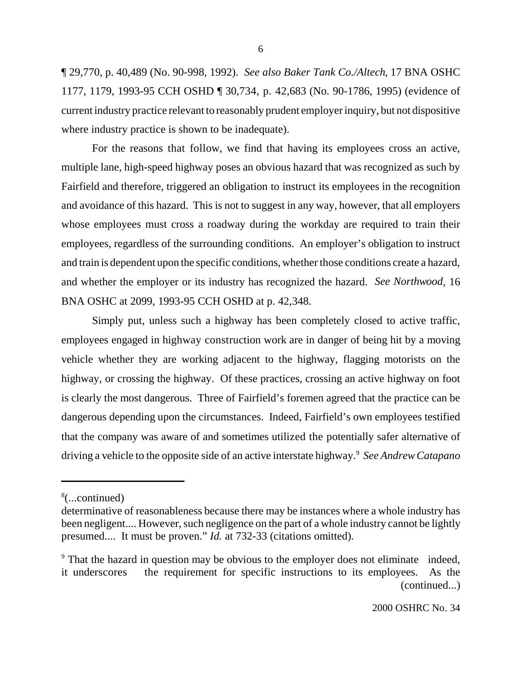¶ 29,770, p. 40,489 (No. 90-998, 1992). *See also Baker Tank Co./Altech*, 17 BNA OSHC 1177, 1179, 1993-95 CCH OSHD ¶ 30,734, p. 42,683 (No. 90-1786, 1995) (evidence of current industry practice relevant to reasonably prudent employer inquiry, but not dispositive where industry practice is shown to be inadequate).

For the reasons that follow, we find that having its employees cross an active, multiple lane, high-speed highway poses an obvious hazard that was recognized as such by Fairfield and therefore, triggered an obligation to instruct its employees in the recognition and avoidance of this hazard. This is not to suggest in any way, however, that all employers whose employees must cross a roadway during the workday are required to train their employees, regardless of the surrounding conditions. An employer's obligation to instruct and train is dependent upon the specific conditions, whether those conditions create a hazard, and whether the employer or its industry has recognized the hazard. *See Northwood*, 16 BNA OSHC at 2099, 1993-95 CCH OSHD at p. 42,348.

Simply put, unless such a highway has been completely closed to active traffic, employees engaged in highway construction work are in danger of being hit by a moving vehicle whether they are working adjacent to the highway, flagging motorists on the highway, or crossing the highway. Of these practices, crossing an active highway on foot is clearly the most dangerous. Three of Fairfield's foremen agreed that the practice can be dangerous depending upon the circumstances. Indeed, Fairfield's own employees testified that the company was aware of and sometimes utilized the potentially safer alternative of driving a vehicle to the opposite side of an active interstate highway.9 *See Andrew Catapano*

<sup>8</sup> (...continued)

determinative of reasonableness because there may be instances where a whole industry has been negligent.... However, such negligence on the part of a whole industry cannot be lightly presumed.... It must be proven." *Id.* at 732-33 (citations omitted).

<sup>&</sup>lt;sup>9</sup> That the hazard in question may be obvious to the employer does not eliminate indeed, it underscores the requirement for specific instructions to its employees. As the (continued...)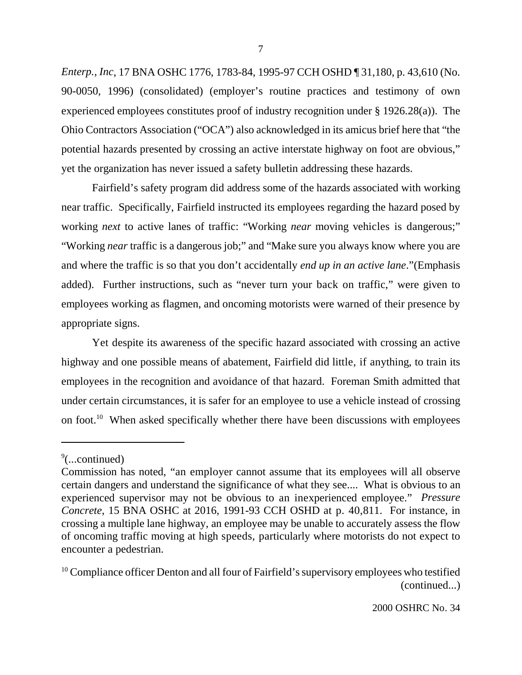*Enterp., Inc*, 17 BNA OSHC 1776, 1783-84, 1995-97 CCH OSHD ¶ 31,180, p. 43,610 (No. 90-0050, 1996) (consolidated) (employer's routine practices and testimony of own experienced employees constitutes proof of industry recognition under § 1926.28(a)). The Ohio Contractors Association ("OCA") also acknowledged in its amicus brief here that "the potential hazards presented by crossing an active interstate highway on foot are obvious," yet the organization has never issued a safety bulletin addressing these hazards.

Fairfield's safety program did address some of the hazards associated with working near traffic. Specifically, Fairfield instructed its employees regarding the hazard posed by working *next* to active lanes of traffic: "Working *near* moving vehicles is dangerous;" "Working *near* traffic is a dangerous job;" and "Make sure you always know where you are and where the traffic is so that you don't accidentally *end up in an active lane*."(Emphasis added). Further instructions, such as "never turn your back on traffic," were given to employees working as flagmen, and oncoming motorists were warned of their presence by appropriate signs.

Yet despite its awareness of the specific hazard associated with crossing an active highway and one possible means of abatement, Fairfield did little, if anything, to train its employees in the recognition and avoidance of that hazard. Foreman Smith admitted that under certain circumstances, it is safer for an employee to use a vehicle instead of crossing on foot.<sup>10</sup> When asked specifically whether there have been discussions with employees

<sup>9</sup> (...continued)

Commission has noted, "an employer cannot assume that its employees will all observe certain dangers and understand the significance of what they see.... What is obvious to an experienced supervisor may not be obvious to an inexperienced employee." *Pressure Concrete*, 15 BNA OSHC at 2016, 1991-93 CCH OSHD at p. 40,811. For instance, in crossing a multiple lane highway, an employee may be unable to accurately assess the flow of oncoming traffic moving at high speeds, particularly where motorists do not expect to encounter a pedestrian.

 $10$  Compliance officer Denton and all four of Fairfield's supervisory employees who testified (continued...)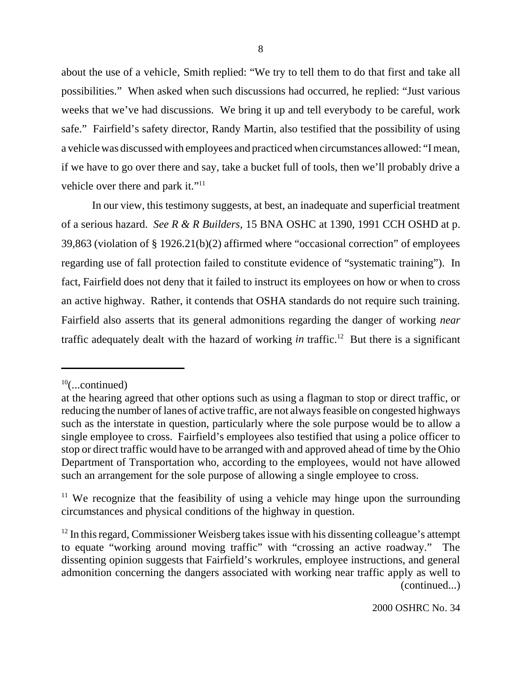about the use of a vehicle, Smith replied: "We try to tell them to do that first and take all possibilities." When asked when such discussions had occurred, he replied: "Just various weeks that we've had discussions. We bring it up and tell everybody to be careful, work safe." Fairfield's safety director, Randy Martin, also testified that the possibility of using a vehicle was discussed with employees and practiced when circumstances allowed: "I mean, if we have to go over there and say, take a bucket full of tools, then we'll probably drive a vehicle over there and park it."<sup>11</sup>

In our view, this testimony suggests, at best, an inadequate and superficial treatment of a serious hazard. *See R & R Builders*, 15 BNA OSHC at 1390, 1991 CCH OSHD at p. 39,863 (violation of § 1926.21(b)(2) affirmed where "occasional correction" of employees regarding use of fall protection failed to constitute evidence of "systematic training"). In fact, Fairfield does not deny that it failed to instruct its employees on how or when to cross an active highway. Rather, it contends that OSHA standards do not require such training. Fairfield also asserts that its general admonitions regarding the danger of working *near* traffic adequately dealt with the hazard of working *in* traffic.<sup>12</sup> But there is a significant

 $10$ (...continued)

at the hearing agreed that other options such as using a flagman to stop or direct traffic, or reducing the number of lanes of active traffic, are not always feasible on congested highways such as the interstate in question, particularly where the sole purpose would be to allow a single employee to cross. Fairfield's employees also testified that using a police officer to stop or direct traffic would have to be arranged with and approved ahead of time by the Ohio Department of Transportation who, according to the employees, would not have allowed such an arrangement for the sole purpose of allowing a single employee to cross.

<sup>&</sup>lt;sup>11</sup> We recognize that the feasibility of using a vehicle may hinge upon the surrounding circumstances and physical conditions of the highway in question.

 $12$  In this regard, Commissioner Weisberg takes issue with his dissenting colleague's attempt to equate "working around moving traffic" with "crossing an active roadway." The dissenting opinion suggests that Fairfield's workrules, employee instructions, and general admonition concerning the dangers associated with working near traffic apply as well to (continued...)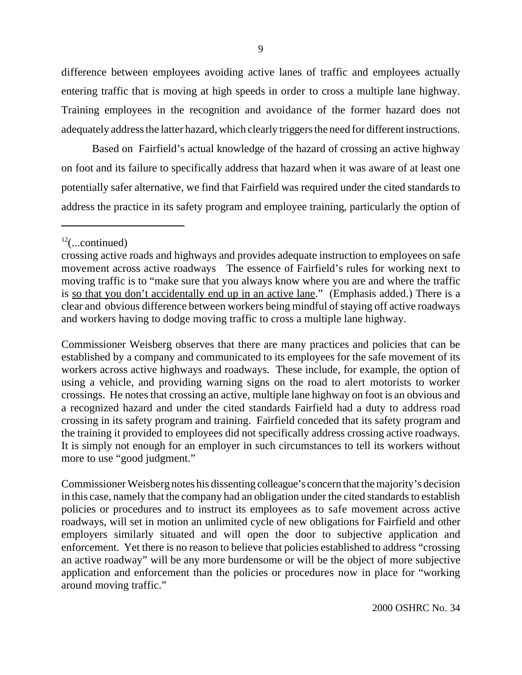difference between employees avoiding active lanes of traffic and employees actually entering traffic that is moving at high speeds in order to cross a multiple lane highway. Training employees in the recognition and avoidance of the former hazard does not adequately address the latter hazard, which clearly triggers the need for different instructions.

Based on Fairfield's actual knowledge of the hazard of crossing an active highway on foot and its failure to specifically address that hazard when it was aware of at least one potentially safer alternative, we find that Fairfield was required under the cited standards to address the practice in its safety program and employee training, particularly the option of

Commissioner Weisberg observes that there are many practices and policies that can be established by a company and communicated to its employees for the safe movement of its workers across active highways and roadways. These include, for example, the option of using a vehicle, and providing warning signs on the road to alert motorists to worker crossings. He notes that crossing an active, multiple lane highway on foot is an obvious and a recognized hazard and under the cited standards Fairfield had a duty to address road crossing in its safety program and training. Fairfield conceded that its safety program and the training it provided to employees did not specifically address crossing active roadways. It is simply not enough for an employer in such circumstances to tell its workers without more to use "good judgment."

Commissioner Weisberg notes his dissenting colleague's concern that the majority's decision in this case, namely that the company had an obligation under the cited standards to establish policies or procedures and to instruct its employees as to safe movement across active roadways, will set in motion an unlimited cycle of new obligations for Fairfield and other employers similarly situated and will open the door to subjective application and enforcement. Yet there is no reason to believe that policies established to address "crossing an active roadway" will be any more burdensome or will be the object of more subjective application and enforcement than the policies or procedures now in place for "working around moving traffic."

 $12$ (...continued)

crossing active roads and highways and provides adequate instruction to employees on safe movement across active roadways The essence of Fairfield's rules for working next to moving traffic is to "make sure that you always know where you are and where the traffic is so that you don't accidentally end up in an active lane." (Emphasis added.) There is a clear and obvious difference between workers being mindful of staying off active roadways and workers having to dodge moving traffic to cross a multiple lane highway.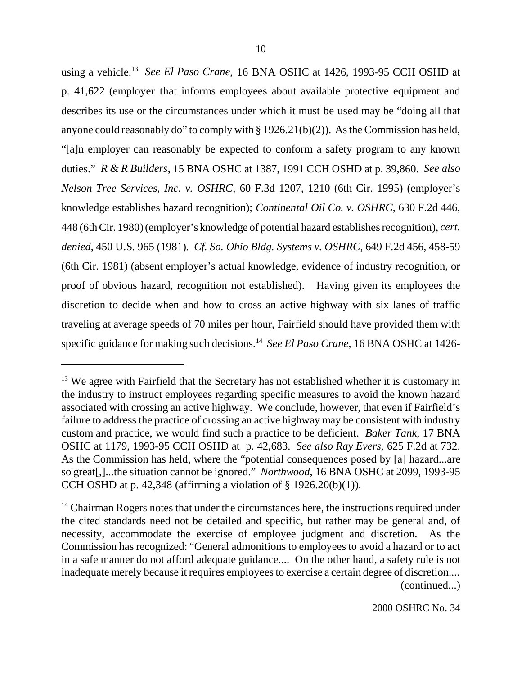using a vehicle.13 *See El Paso Crane*, 16 BNA OSHC at 1426, 1993-95 CCH OSHD at p. 41,622 (employer that informs employees about available protective equipment and describes its use or the circumstances under which it must be used may be "doing all that anyone could reasonably do" to comply with  $\S 1926.21(b)(2)$ ). As the Commission has held, "[a]n employer can reasonably be expected to conform a safety program to any known duties." *R & R Builders*, 15 BNA OSHC at 1387, 1991 CCH OSHD at p. 39,860. *See also Nelson Tree Services, Inc. v. OSHRC*, 60 F.3d 1207, 1210 (6th Cir. 1995) (employer's knowledge establishes hazard recognition); *Continental Oil Co. v. OSHRC*, 630 F.2d 446, 448 (6th Cir. 1980)(employer's knowledge of potential hazard establishes recognition), *cert. denied*, 450 U.S. 965 (1981)*. Cf. So. Ohio Bldg. Systems v. OSHRC*, 649 F.2d 456, 458-59 (6th Cir. 1981) (absent employer's actual knowledge, evidence of industry recognition, or proof of obvious hazard, recognition not established). Having given its employees the discretion to decide when and how to cross an active highway with six lanes of traffic traveling at average speeds of 70 miles per hour, Fairfield should have provided them with specific guidance for making such decisions.14 *See El Paso Crane*, 16 BNA OSHC at 1426-

 $13$  We agree with Fairfield that the Secretary has not established whether it is customary in the industry to instruct employees regarding specific measures to avoid the known hazard associated with crossing an active highway. We conclude, however, that even if Fairfield's failure to address the practice of crossing an active highway may be consistent with industry custom and practice, we would find such a practice to be deficient. *Baker Tank*, 17 BNA OSHC at 1179, 1993-95 CCH OSHD at p. 42,683. *See also Ray Evers*, 625 F.2d at 732. As the Commission has held, where the "potential consequences posed by [a] hazard...are so great[,]...the situation cannot be ignored." *Northwood*, 16 BNA OSHC at 2099, 1993-95 CCH OSHD at p. 42,348 (affirming a violation of  $\S$  1926.20(b)(1)).

 $14$  Chairman Rogers notes that under the circumstances here, the instructions required under the cited standards need not be detailed and specific, but rather may be general and, of necessity, accommodate the exercise of employee judgment and discretion. As the Commission has recognized: "General admonitions to employees to avoid a hazard or to act in a safe manner do not afford adequate guidance.... On the other hand, a safety rule is not inadequate merely because it requires employees to exercise a certain degree of discretion.... (continued...)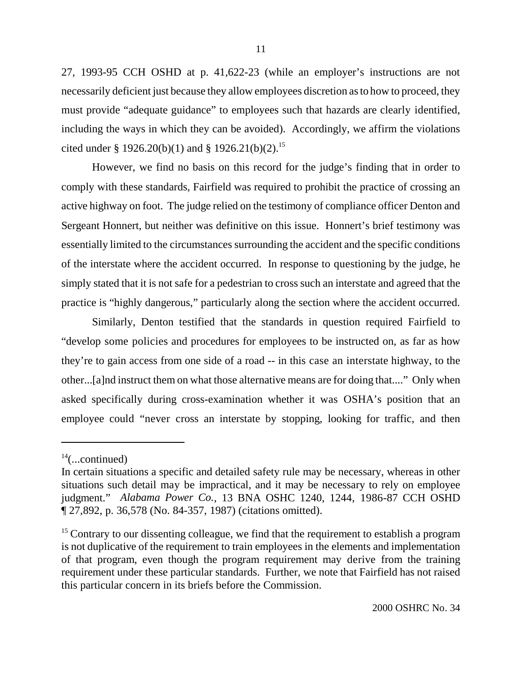27, 1993-95 CCH OSHD at p. 41,622-23 (while an employer's instructions are not necessarily deficient just because they allow employees discretion as to how to proceed, they must provide "adequate guidance" to employees such that hazards are clearly identified, including the ways in which they can be avoided). Accordingly, we affirm the violations cited under § 1926.20(b)(1) and § 1926.21(b)(2).<sup>15</sup>

However, we find no basis on this record for the judge's finding that in order to comply with these standards, Fairfield was required to prohibit the practice of crossing an active highway on foot. The judge relied on the testimony of compliance officer Denton and Sergeant Honnert, but neither was definitive on this issue. Honnert's brief testimony was essentially limited to the circumstances surrounding the accident and the specific conditions of the interstate where the accident occurred. In response to questioning by the judge, he simply stated that it is not safe for a pedestrian to cross such an interstate and agreed that the practice is "highly dangerous," particularly along the section where the accident occurred.

Similarly, Denton testified that the standards in question required Fairfield to "develop some policies and procedures for employees to be instructed on, as far as how they're to gain access from one side of a road -- in this case an interstate highway, to the other...[a]nd instruct them on what those alternative means are for doing that...." Only when asked specifically during cross-examination whether it was OSHA's position that an employee could "never cross an interstate by stopping, looking for traffic, and then

 $14$ (...continued)

In certain situations a specific and detailed safety rule may be necessary, whereas in other situations such detail may be impractical, and it may be necessary to rely on employee judgment." *Alabama Power Co.*, 13 BNA OSHC 1240, 1244, 1986-87 CCH OSHD ¶ 27,892, p. 36,578 (No. 84-357, 1987) (citations omitted).

<sup>&</sup>lt;sup>15</sup> Contrary to our dissenting colleague, we find that the requirement to establish a program is not duplicative of the requirement to train employees in the elements and implementation of that program, even though the program requirement may derive from the training requirement under these particular standards. Further, we note that Fairfield has not raised this particular concern in its briefs before the Commission.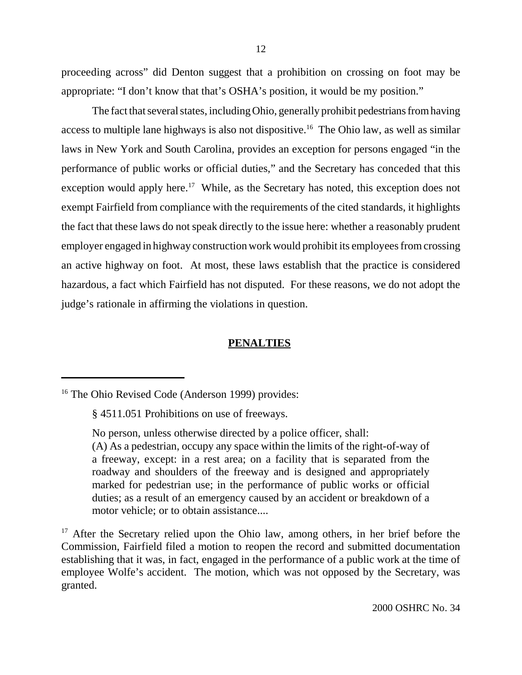proceeding across" did Denton suggest that a prohibition on crossing on foot may be appropriate: "I don't know that that's OSHA's position, it would be my position."

The fact that several states, including Ohio, generally prohibit pedestrians from having access to multiple lane highways is also not dispositive.<sup>16</sup> The Ohio law, as well as similar laws in New York and South Carolina, provides an exception for persons engaged "in the performance of public works or official duties," and the Secretary has conceded that this exception would apply here.<sup>17</sup> While, as the Secretary has noted, this exception does not exempt Fairfield from compliance with the requirements of the cited standards, it highlights the fact that these laws do not speak directly to the issue here: whether a reasonably prudent employer engaged in highway construction work would prohibit its employees from crossing an active highway on foot. At most, these laws establish that the practice is considered hazardous, a fact which Fairfield has not disputed. For these reasons, we do not adopt the judge's rationale in affirming the violations in question.

## **PENALTIES**

<sup>&</sup>lt;sup>16</sup> The Ohio Revised Code (Anderson 1999) provides:

<sup>§ 4511.051</sup> Prohibitions on use of freeways.

No person, unless otherwise directed by a police officer, shall:

<sup>(</sup>A) As a pedestrian, occupy any space within the limits of the right-of-way of a freeway, except: in a rest area; on a facility that is separated from the roadway and shoulders of the freeway and is designed and appropriately marked for pedestrian use; in the performance of public works or official duties; as a result of an emergency caused by an accident or breakdown of a motor vehicle; or to obtain assistance....

<sup>&</sup>lt;sup>17</sup> After the Secretary relied upon the Ohio law, among others, in her brief before the Commission, Fairfield filed a motion to reopen the record and submitted documentation establishing that it was, in fact, engaged in the performance of a public work at the time of employee Wolfe's accident. The motion, which was not opposed by the Secretary, was granted.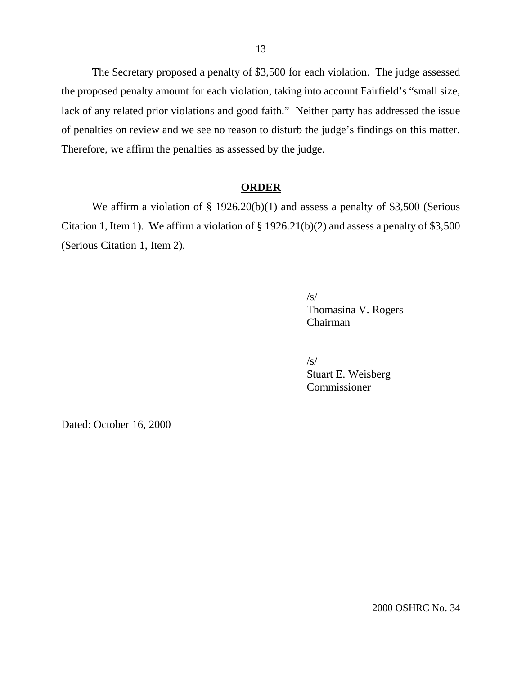The Secretary proposed a penalty of \$3,500 for each violation. The judge assessed the proposed penalty amount for each violation, taking into account Fairfield's "small size, lack of any related prior violations and good faith." Neither party has addressed the issue of penalties on review and we see no reason to disturb the judge's findings on this matter. Therefore, we affirm the penalties as assessed by the judge.

### **ORDER**

We affirm a violation of  $\S 1926.20(b)(1)$  and assess a penalty of \$3,500 (Serious Citation 1, Item 1). We affirm a violation of  $\S 1926.21(b)(2)$  and assess a penalty of \$3,500 (Serious Citation 1, Item 2).

> $/s/$ Thomasina V. Rogers Chairman

/s/ Stuart E. Weisberg **Commissioner** 

Dated: October 16, 2000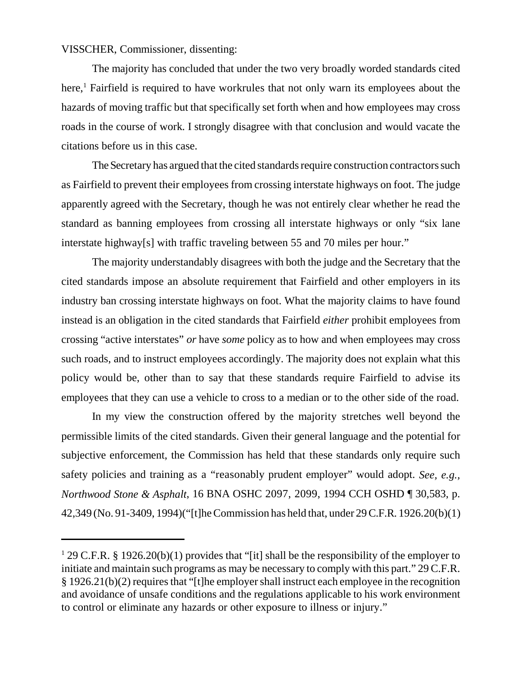VISSCHER, Commissioner, dissenting:

The majority has concluded that under the two very broadly worded standards cited here,<sup>1</sup> Fairfield is required to have workrules that not only warn its employees about the hazards of moving traffic but that specifically set forth when and how employees may cross roads in the course of work. I strongly disagree with that conclusion and would vacate the citations before us in this case.

The Secretary has argued that the cited standards require construction contractors such as Fairfield to prevent their employees from crossing interstate highways on foot. The judge apparently agreed with the Secretary, though he was not entirely clear whether he read the standard as banning employees from crossing all interstate highways or only "six lane interstate highway[s] with traffic traveling between 55 and 70 miles per hour."

The majority understandably disagrees with both the judge and the Secretary that the cited standards impose an absolute requirement that Fairfield and other employers in its industry ban crossing interstate highways on foot. What the majority claims to have found instead is an obligation in the cited standards that Fairfield *either* prohibit employees from crossing "active interstates" *or* have *some* policy as to how and when employees may cross such roads, and to instruct employees accordingly. The majority does not explain what this policy would be, other than to say that these standards require Fairfield to advise its employees that they can use a vehicle to cross to a median or to the other side of the road.

In my view the construction offered by the majority stretches well beyond the permissible limits of the cited standards. Given their general language and the potential for subjective enforcement, the Commission has held that these standards only require such safety policies and training as a "reasonably prudent employer" would adopt. *See, e.g., Northwood Stone & Asphalt*, 16 BNA OSHC 2097, 2099, 1994 CCH OSHD ¶ 30,583, p. 42,349 (No. 91-3409, 1994)("[t]he Commission has held that, under 29 C.F.R. 1926.20(b)(1)

<sup>&</sup>lt;sup>1</sup> 29 C.F.R. § 1926.20(b)(1) provides that "[it] shall be the responsibility of the employer to initiate and maintain such programs as may be necessary to comply with this part." 29 C.F.R. § 1926.21(b)(2) requires that "[t]he employer shall instruct each employee in the recognition and avoidance of unsafe conditions and the regulations applicable to his work environment to control or eliminate any hazards or other exposure to illness or injury."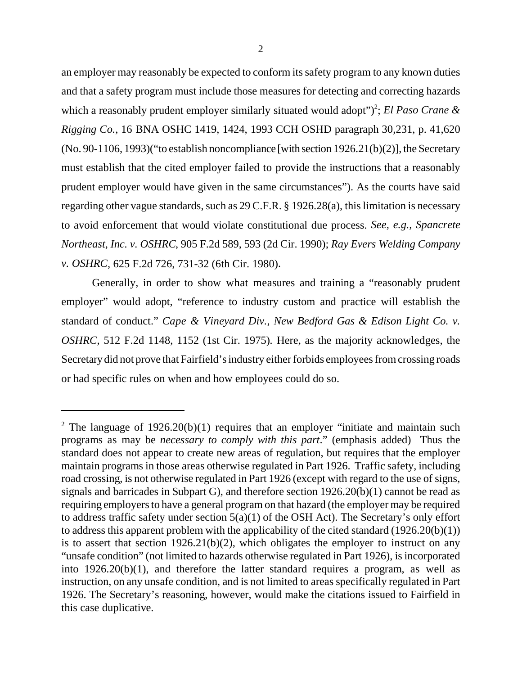an employer may reasonably be expected to conform its safety program to any known duties and that a safety program must include those measures for detecting and correcting hazards which a reasonably prudent employer similarly situated would adopt")<sup>2</sup>; *El Paso Crane & Rigging Co.,* 16 BNA OSHC 1419, 1424, 1993 CCH OSHD paragraph 30,231, p. 41,620  $(No. 90-1106, 1993)$  ("to establish noncompliance [with section 1926.21(b)(2)], the Secretary must establish that the cited employer failed to provide the instructions that a reasonably prudent employer would have given in the same circumstances"). As the courts have said regarding other vague standards, such as 29 C.F.R. § 1926.28(a), this limitation is necessary to avoid enforcement that would violate constitutional due process. *See, e.g., Spancrete Northeast, Inc. v. OSHRC*, 905 F.2d 589, 593 (2d Cir. 1990); *Ray Evers Welding Company v. OSHRC*, 625 F.2d 726, 731-32 (6th Cir. 1980)*.*

Generally, in order to show what measures and training a "reasonably prudent employer" would adopt, "reference to industry custom and practice will establish the standard of conduct." *Cape & Vineyard Div., New Bedford Gas & Edison Light Co. v. OSHRC*, 512 F.2d 1148, 1152 (1st Cir. 1975)*.* Here, as the majority acknowledges, the Secretary did not prove that Fairfield's industry either forbids employees from crossing roads or had specific rules on when and how employees could do so.

<sup>&</sup>lt;sup>2</sup> The language of 1926.20(b)(1) requires that an employer "initiate and maintain such programs as may be *necessary to comply with this part*." (emphasis added) Thus the standard does not appear to create new areas of regulation, but requires that the employer maintain programs in those areas otherwise regulated in Part 1926. Traffic safety, including road crossing, is not otherwise regulated in Part 1926 (except with regard to the use of signs, signals and barricades in Subpart G), and therefore section 1926.20(b)(1) cannot be read as requiring employers to have a general program on that hazard (the employer may be required to address traffic safety under section 5(a)(1) of the OSH Act). The Secretary's only effort to address this apparent problem with the applicability of the cited standard  $(1926.20(b)(1))$ is to assert that section  $1926.21(b)(2)$ , which obligates the employer to instruct on any "unsafe condition" (not limited to hazards otherwise regulated in Part 1926), is incorporated into 1926.20(b)(1), and therefore the latter standard requires a program, as well as instruction, on any unsafe condition, and is not limited to areas specifically regulated in Part 1926. The Secretary's reasoning, however, would make the citations issued to Fairfield in this case duplicative.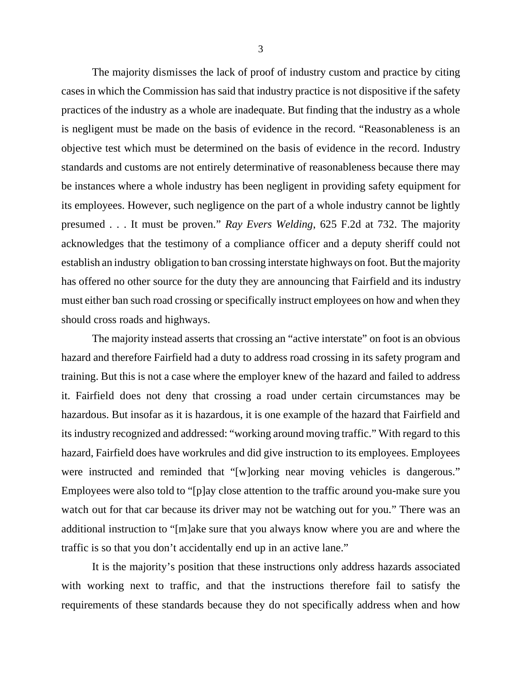The majority dismisses the lack of proof of industry custom and practice by citing cases in which the Commission has said that industry practice is not dispositive if the safety practices of the industry as a whole are inadequate. But finding that the industry as a whole is negligent must be made on the basis of evidence in the record. "Reasonableness is an objective test which must be determined on the basis of evidence in the record. Industry standards and customs are not entirely determinative of reasonableness because there may be instances where a whole industry has been negligent in providing safety equipment for its employees. However, such negligence on the part of a whole industry cannot be lightly presumed . . . It must be proven." *Ray Evers Welding*, 625 F.2d at 732. The majority acknowledges that the testimony of a compliance officer and a deputy sheriff could not establish an industry obligation to ban crossing interstate highways on foot. But the majority has offered no other source for the duty they are announcing that Fairfield and its industry must either ban such road crossing or specifically instruct employees on how and when they should cross roads and highways.

The majority instead asserts that crossing an "active interstate" on foot is an obvious hazard and therefore Fairfield had a duty to address road crossing in its safety program and training. But this is not a case where the employer knew of the hazard and failed to address it. Fairfield does not deny that crossing a road under certain circumstances may be hazardous. But insofar as it is hazardous, it is one example of the hazard that Fairfield and its industry recognized and addressed: "working around moving traffic." With regard to this hazard, Fairfield does have workrules and did give instruction to its employees. Employees were instructed and reminded that "[w]orking near moving vehicles is dangerous." Employees were also told to "[p]ay close attention to the traffic around you-make sure you watch out for that car because its driver may not be watching out for you." There was an additional instruction to "[m]ake sure that you always know where you are and where the traffic is so that you don't accidentally end up in an active lane."

It is the majority's position that these instructions only address hazards associated with working next to traffic, and that the instructions therefore fail to satisfy the requirements of these standards because they do not specifically address when and how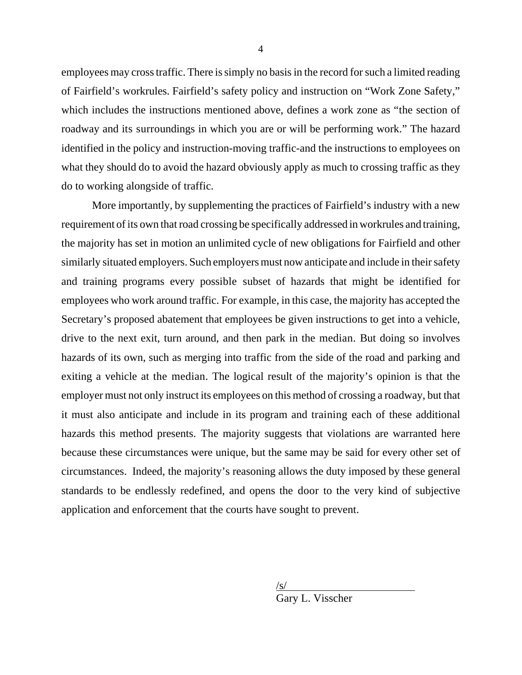employees may cross traffic. There is simply no basis in the record for such a limited reading of Fairfield's workrules. Fairfield's safety policy and instruction on "Work Zone Safety," which includes the instructions mentioned above, defines a work zone as "the section of roadway and its surroundings in which you are or will be performing work." The hazard identified in the policy and instruction-moving traffic-and the instructions to employees on what they should do to avoid the hazard obviously apply as much to crossing traffic as they do to working alongside of traffic.

More importantly, by supplementing the practices of Fairfield's industry with a new requirement of its own that road crossing be specifically addressed in workrules and training, the majority has set in motion an unlimited cycle of new obligations for Fairfield and other similarly situated employers. Such employers must now anticipate and include in their safety and training programs every possible subset of hazards that might be identified for employees who work around traffic. For example, in this case, the majority has accepted the Secretary's proposed abatement that employees be given instructions to get into a vehicle, drive to the next exit, turn around, and then park in the median. But doing so involves hazards of its own, such as merging into traffic from the side of the road and parking and exiting a vehicle at the median. The logical result of the majority's opinion is that the employer must not only instruct its employees on this method of crossing a roadway, but that it must also anticipate and include in its program and training each of these additional hazards this method presents. The majority suggests that violations are warranted here because these circumstances were unique, but the same may be said for every other set of circumstances. Indeed, the majority's reasoning allows the duty imposed by these general standards to be endlessly redefined, and opens the door to the very kind of subjective application and enforcement that the courts have sought to prevent.

> $\sqrt{s/}$ Gary L. Visscher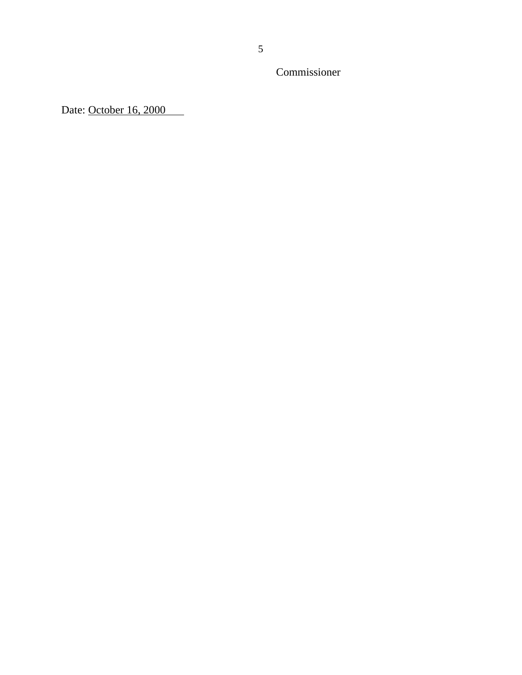Commissioner

Date: October 16, 2000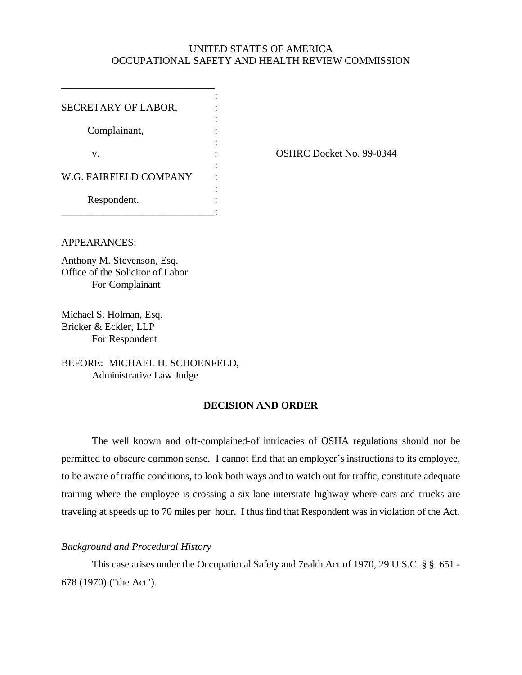## UNITED STATES OF AMERICA OCCUPATIONAL SAFETY AND HEALTH REVIEW COMMISSION

| SECRETARY OF LABOR,    |  |
|------------------------|--|
| Complainant,           |  |
| V.                     |  |
| W.G. FAIRFIELD COMPANY |  |
| Respondent.            |  |

OSHRC Docket No. 99-0344

APPEARANCES:

Anthony M. Stevenson, Esq. Office of the Solicitor of Labor For Complainant

Michael S. Holman, Esq. Bricker & Eckler, LLP For Respondent

BEFORE: MICHAEL H. SCHOENFELD, Administrative Law Judge

### **DECISION AND ORDER**

The well known and oft-complained-of intricacies of OSHA regulations should not be permitted to obscure common sense. I cannot find that an employer's instructions to its employee, to be aware of traffic conditions, to look both ways and to watch out for traffic, constitute adequate training where the employee is crossing a six lane interstate highway where cars and trucks are traveling at speeds up to 70 miles per hour. I thus find that Respondent was in violation of the Act.

*Background and Procedural History*

This case arises under the Occupational Safety and 7ealth Act of 1970, 29 U.S.C. § § 651 - 678 (1970) ("the Act").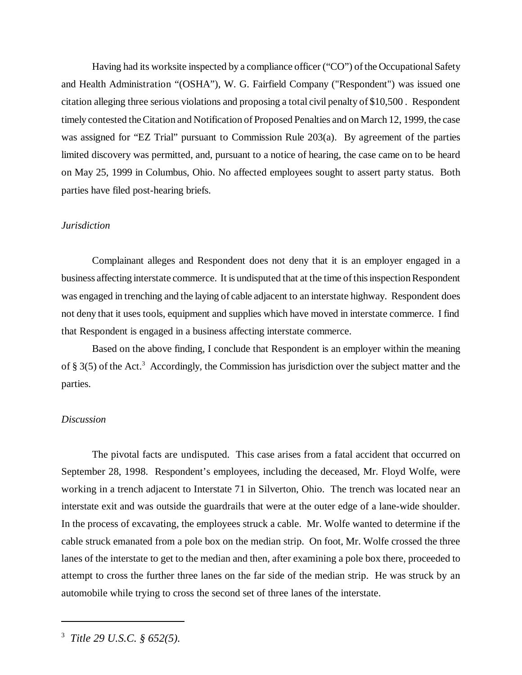Having had its worksite inspected by a compliance officer ("CO") of the Occupational Safety and Health Administration "(OSHA"), W. G. Fairfield Company ("Respondent") was issued one citation alleging three serious violations and proposing a total civil penalty of \$10,500 . Respondent timely contested the Citation and Notification of Proposed Penalties and on March 12, 1999, the case was assigned for "EZ Trial" pursuant to Commission Rule 203(a). By agreement of the parties limited discovery was permitted, and, pursuant to a notice of hearing, the case came on to be heard on May 25, 1999 in Columbus, Ohio. No affected employees sought to assert party status. Both parties have filed post-hearing briefs.

#### *Jurisdiction*

Complainant alleges and Respondent does not deny that it is an employer engaged in a business affecting interstate commerce. It is undisputed that at the time of this inspection Respondent was engaged in trenching and the laying of cable adjacent to an interstate highway. Respondent does not deny that it uses tools, equipment and supplies which have moved in interstate commerce. I find that Respondent is engaged in a business affecting interstate commerce.

Based on the above finding, I conclude that Respondent is an employer within the meaning of § 3(5) of the Act.<sup>3</sup> Accordingly, the Commission has jurisdiction over the subject matter and the parties.

#### *Discussion*

The pivotal facts are undisputed. This case arises from a fatal accident that occurred on September 28, 1998. Respondent's employees, including the deceased, Mr. Floyd Wolfe, were working in a trench adjacent to Interstate 71 in Silverton, Ohio. The trench was located near an interstate exit and was outside the guardrails that were at the outer edge of a lane-wide shoulder. In the process of excavating, the employees struck a cable. Mr. Wolfe wanted to determine if the cable struck emanated from a pole box on the median strip. On foot, Mr. Wolfe crossed the three lanes of the interstate to get to the median and then, after examining a pole box there, proceeded to attempt to cross the further three lanes on the far side of the median strip. He was struck by an automobile while trying to cross the second set of three lanes of the interstate.

<sup>3</sup>  *Title 29 U.S.C. § 652(5).*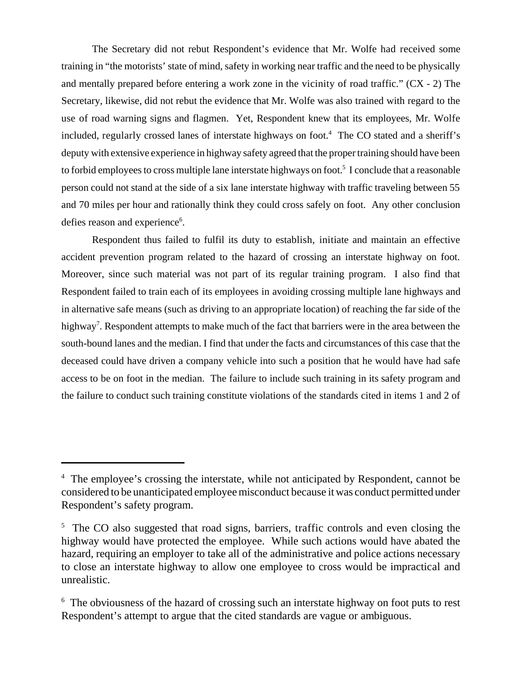The Secretary did not rebut Respondent's evidence that Mr. Wolfe had received some training in "the motorists' state of mind, safety in working near traffic and the need to be physically and mentally prepared before entering a work zone in the vicinity of road traffic." (CX - 2) The Secretary, likewise, did not rebut the evidence that Mr. Wolfe was also trained with regard to the use of road warning signs and flagmen. Yet, Respondent knew that its employees, Mr. Wolfe included, regularly crossed lanes of interstate highways on foot.<sup>4</sup> The CO stated and a sheriff's deputy with extensive experience in highway safety agreed that the proper training should have been to forbid employees to cross multiple lane interstate highways on foot.<sup>5</sup> I conclude that a reasonable person could not stand at the side of a six lane interstate highway with traffic traveling between 55 and 70 miles per hour and rationally think they could cross safely on foot. Any other conclusion defies reason and experience<sup>6</sup>.

Respondent thus failed to fulfil its duty to establish, initiate and maintain an effective accident prevention program related to the hazard of crossing an interstate highway on foot. Moreover, since such material was not part of its regular training program. I also find that Respondent failed to train each of its employees in avoiding crossing multiple lane highways and in alternative safe means (such as driving to an appropriate location) of reaching the far side of the highway<sup>7</sup>. Respondent attempts to make much of the fact that barriers were in the area between the south-bound lanes and the median. I find that under the facts and circumstances of this case that the deceased could have driven a company vehicle into such a position that he would have had safe access to be on foot in the median. The failure to include such training in its safety program and the failure to conduct such training constitute violations of the standards cited in items 1 and 2 of

<sup>&</sup>lt;sup>4</sup> The employee's crossing the interstate, while not anticipated by Respondent, cannot be considered to be unanticipated employee misconduct because it was conduct permitted under Respondent's safety program.

<sup>&</sup>lt;sup>5</sup> The CO also suggested that road signs, barriers, traffic controls and even closing the highway would have protected the employee. While such actions would have abated the hazard, requiring an employer to take all of the administrative and police actions necessary to close an interstate highway to allow one employee to cross would be impractical and unrealistic.

<sup>&</sup>lt;sup>6</sup> The obviousness of the hazard of crossing such an interstate highway on foot puts to rest Respondent's attempt to argue that the cited standards are vague or ambiguous.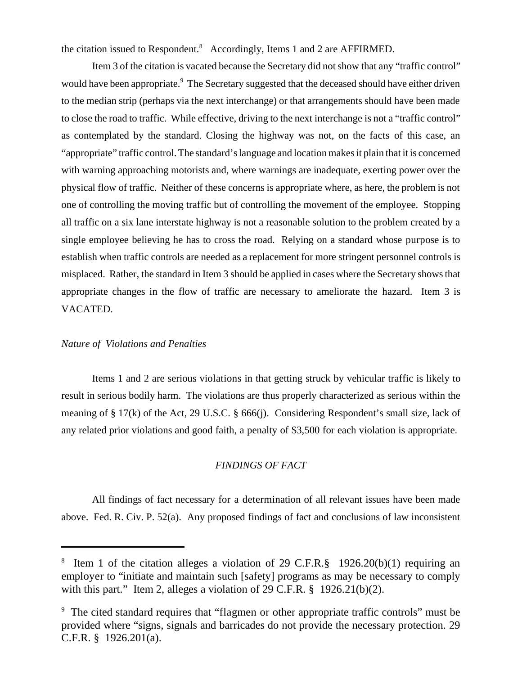the citation issued to Respondent.<sup>8</sup> Accordingly, Items 1 and 2 are AFFIRMED.

Item 3 of the citation is vacated because the Secretary did not show that any "traffic control" would have been appropriate.<sup>9</sup> The Secretary suggested that the deceased should have either driven to the median strip (perhaps via the next interchange) or that arrangements should have been made to close the road to traffic. While effective, driving to the next interchange is not a "traffic control" as contemplated by the standard. Closing the highway was not, on the facts of this case, an "appropriate" traffic control. The standard's language and location makes it plain that it is concerned with warning approaching motorists and, where warnings are inadequate, exerting power over the physical flow of traffic. Neither of these concerns is appropriate where, as here, the problem is not one of controlling the moving traffic but of controlling the movement of the employee. Stopping all traffic on a six lane interstate highway is not a reasonable solution to the problem created by a single employee believing he has to cross the road. Relying on a standard whose purpose is to establish when traffic controls are needed as a replacement for more stringent personnel controls is misplaced. Rather, the standard in Item 3 should be applied in cases where the Secretary shows that appropriate changes in the flow of traffic are necessary to ameliorate the hazard. Item 3 is VACATED.

#### *Nature of Violations and Penalties*

Items 1 and 2 are serious violations in that getting struck by vehicular traffic is likely to result in serious bodily harm. The violations are thus properly characterized as serious within the meaning of § 17(k) of the Act, 29 U.S.C. § 666(j). Considering Respondent's small size, lack of any related prior violations and good faith, a penalty of \$3,500 for each violation is appropriate.

#### *FINDINGS OF FACT*

All findings of fact necessary for a determination of all relevant issues have been made above. Fed. R. Civ. P. 52(a). Any proposed findings of fact and conclusions of law inconsistent

<sup>8</sup> Item 1 of the citation alleges a violation of 29 C.F.R.§ 1926.20(b)(1) requiring an employer to "initiate and maintain such [safety] programs as may be necessary to comply with this part." Item 2, alleges a violation of 29 C.F.R. § 1926.21(b)(2).

<sup>&</sup>lt;sup>9</sup> The cited standard requires that "flagmen or other appropriate traffic controls" must be provided where "signs, signals and barricades do not provide the necessary protection. 29 C.F.R. § 1926.201(a).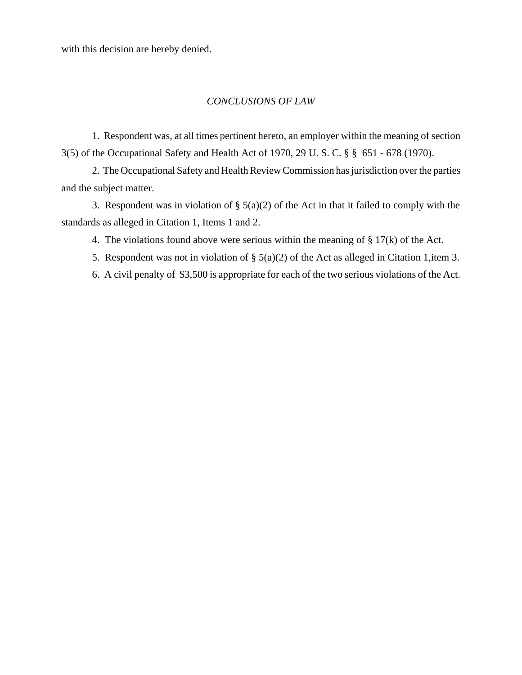with this decision are hereby denied.

#### *CONCLUSIONS OF LAW*

1. Respondent was, at all times pertinent hereto, an employer within the meaning of section 3(5) of the Occupational Safety and Health Act of 1970, 29 U. S. C. § § 651 - 678 (1970).

2. The Occupational Safety and Health Review Commission has jurisdiction over the parties and the subject matter.

3. Respondent was in violation of  $\S$  5(a)(2) of the Act in that it failed to comply with the standards as alleged in Citation 1, Items 1 and 2.

- 4. The violations found above were serious within the meaning of § 17(k) of the Act.
- 5. Respondent was not in violation of § 5(a)(2) of the Act as alleged in Citation 1,item 3.

6. A civil penalty of \$3,500 is appropriate for each of the two serious violations of the Act.